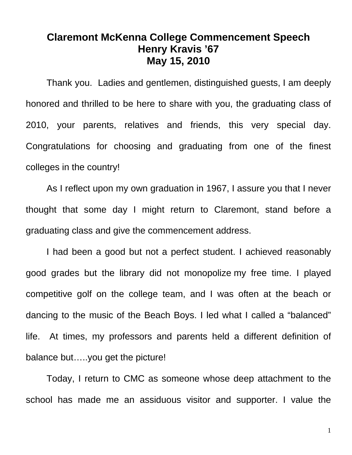# **Claremont McKenna College Commencement Speech Henry Kravis '67 May 15, 2010**

Thank you. Ladies and gentlemen, distinguished guests, I am deeply honored and thrilled to be here to share with you, the graduating class of 2010, your parents, relatives and friends, this very special day. Congratulations for choosing and graduating from one of the finest colleges in the country!

As I reflect upon my own graduation in 1967, I assure you that I never thought that some day I might return to Claremont, stand before a graduating class and give the commencement address.

I had been a good but not a perfect student. I achieved reasonably good grades but the library did not monopolize my free time. I played competitive golf on the college team, and I was often at the beach or dancing to the music of the Beach Boys. I led what I called a "balanced" life. At times, my professors and parents held a different definition of balance but…..you get the picture!

Today, I return to CMC as someone whose deep attachment to the school has made me an assiduous visitor and supporter. I value the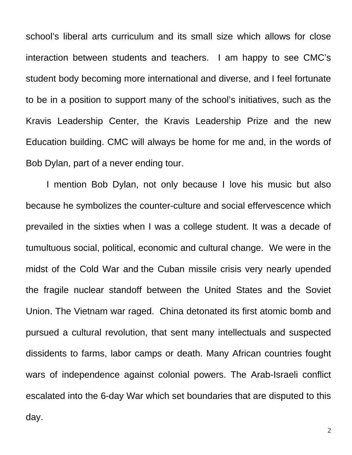school's liberal arts curriculum and its small size which allows for close interaction between students and teachers. I am happy to see CMC's student body becoming more international and diverse, and I feel fortunate to be in a position to support many of the school's initiatives, such as the Kravis Leadership Center, the Kravis Leadership Prize and the new Education building. CMC will always be home for me and, in the words of Bob Dylan, part of a never ending tour.

I mention Bob Dylan, not only because I love his music but also because he symbolizes the counter-culture and social effervescence which prevailed in the sixties when I was a college student. It was a decade of tumultuous social, political, economic and cultural change. We were in the midst of the Cold War and the Cuban missile crisis very nearly upended the fragile nuclear standoff between the United States and the Soviet Union. The Vietnam war raged. China detonated its first atomic bomb and pursued a cultural revolution, that sent many intellectuals and suspected dissidents to farms, labor camps or death. Many African countries fought wars of independence against colonial powers. The Arab-Israeli conflict escalated into the 6-day War which set boundaries that are disputed to this day.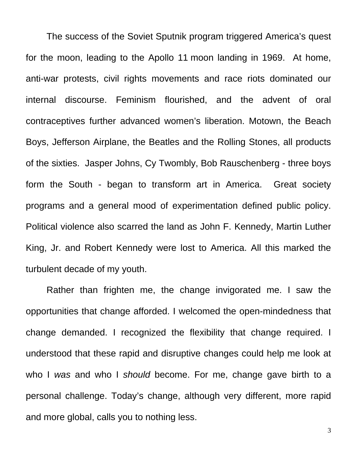The success of the Soviet Sputnik program triggered America's quest for the moon, leading to the Apollo 11 moon landing in 1969. At home, anti-war protests, civil rights movements and race riots dominated our internal discourse. Feminism flourished, and the advent of oral contraceptives further advanced women's liberation. Motown, the Beach Boys, Jefferson Airplane, the Beatles and the Rolling Stones, all products of the sixties. Jasper Johns, Cy Twombly, Bob Rauschenberg - three boys form the South - began to transform art in America. Great society programs and a general mood of experimentation defined public policy. Political violence also scarred the land as John F. Kennedy, Martin Luther King, Jr. and Robert Kennedy were lost to America. All this marked the turbulent decade of my youth.

Rather than frighten me, the change invigorated me. I saw the opportunities that change afforded. I welcomed the open-mindedness that change demanded. I recognized the flexibility that change required. I understood that these rapid and disruptive changes could help me look at who I *was* and who I *should* become. For me, change gave birth to a personal challenge. Today's change, although very different, more rapid and more global, calls you to nothing less.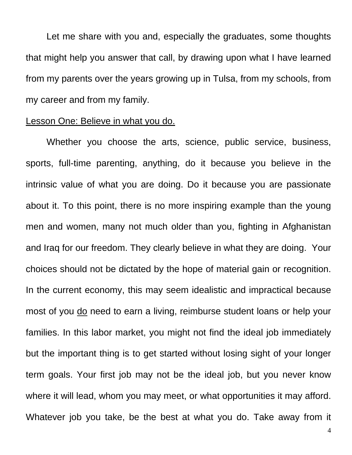Let me share with you and, especially the graduates, some thoughts that might help you answer that call, by drawing upon what I have learned from my parents over the years growing up in Tulsa, from my schools, from my career and from my family.

## Lesson One: Believe in what you do.

Whether you choose the arts, science, public service, business, sports, full-time parenting, anything, do it because you believe in the intrinsic value of what you are doing. Do it because you are passionate about it. To this point, there is no more inspiring example than the young men and women, many not much older than you, fighting in Afghanistan and Iraq for our freedom. They clearly believe in what they are doing. Your choices should not be dictated by the hope of material gain or recognition. In the current economy, this may seem idealistic and impractical because most of you do need to earn a living, reimburse student loans or help your families. In this labor market, you might not find the ideal job immediately but the important thing is to get started without losing sight of your longer term goals. Your first job may not be the ideal job, but you never know where it will lead, whom you may meet, or what opportunities it may afford. Whatever job you take, be the best at what you do. Take away from it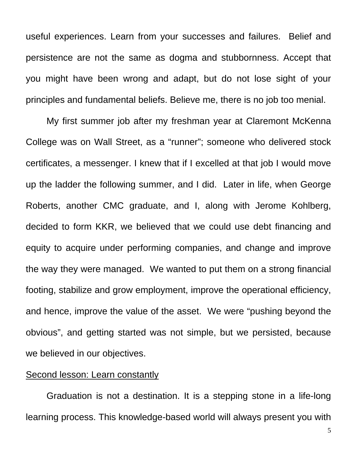useful experiences. Learn from your successes and failures. Belief and persistence are not the same as dogma and stubbornness. Accept that you might have been wrong and adapt, but do not lose sight of your principles and fundamental beliefs. Believe me, there is no job too menial.

My first summer job after my freshman year at Claremont McKenna College was on Wall Street, as a "runner"; someone who delivered stock certificates, a messenger. I knew that if I excelled at that job I would move up the ladder the following summer, and I did. Later in life, when George Roberts, another CMC graduate, and I, along with Jerome Kohlberg, decided to form KKR, we believed that we could use debt financing and equity to acquire under performing companies, and change and improve the way they were managed. We wanted to put them on a strong financial footing, stabilize and grow employment, improve the operational efficiency, and hence, improve the value of the asset. We were "pushing beyond the obvious", and getting started was not simple, but we persisted, because we believed in our objectives.

## Second lesson: Learn constantly

Graduation is not a destination. It is a stepping stone in a life-long learning process. This knowledge-based world will always present you with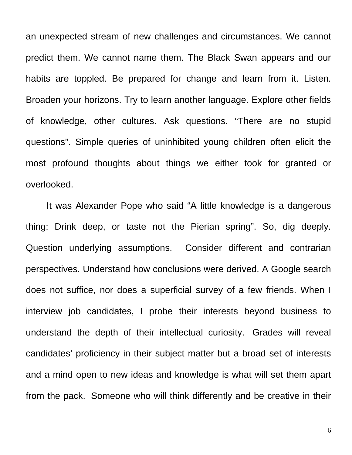an unexpected stream of new challenges and circumstances. We cannot predict them. We cannot name them. The Black Swan appears and our habits are toppled. Be prepared for change and learn from it. Listen. Broaden your horizons. Try to learn another language. Explore other fields of knowledge, other cultures. Ask questions. "There are no stupid questions". Simple queries of uninhibited young children often elicit the most profound thoughts about things we either took for granted or overlooked.

It was Alexander Pope who said "A little knowledge is a dangerous thing; Drink deep, or taste not the Pierian spring". So, dig deeply. Question underlying assumptions. Consider different and contrarian perspectives. Understand how conclusions were derived. A Google search does not suffice, nor does a superficial survey of a few friends. When I interview job candidates, I probe their interests beyond business to understand the depth of their intellectual curiosity. Grades will reveal candidates' proficiency in their subject matter but a broad set of interests and a mind open to new ideas and knowledge is what will set them apart from the pack. Someone who will think differently and be creative in their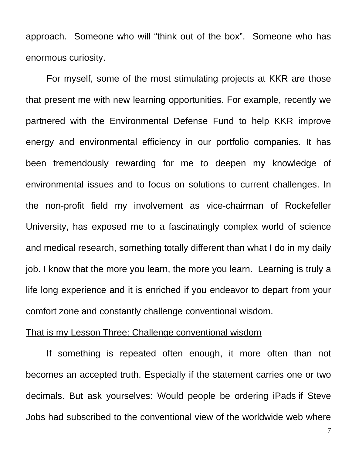approach. Someone who will "think out of the box". Someone who has enormous curiosity.

For myself, some of the most stimulating projects at KKR are those that present me with new learning opportunities. For example, recently we partnered with the Environmental Defense Fund to help KKR improve energy and environmental efficiency in our portfolio companies. It has been tremendously rewarding for me to deepen my knowledge of environmental issues and to focus on solutions to current challenges. In the non-profit field my involvement as vice-chairman of Rockefeller University, has exposed me to a fascinatingly complex world of science and medical research, something totally different than what I do in my daily job. I know that the more you learn, the more you learn. Learning is truly a life long experience and it is enriched if you endeavor to depart from your comfort zone and constantly challenge conventional wisdom.

## That is my Lesson Three: Challenge conventional wisdom

If something is repeated often enough, it more often than not becomes an accepted truth. Especially if the statement carries one or two decimals. But ask yourselves: Would people be ordering iPads if Steve Jobs had subscribed to the conventional view of the worldwide web where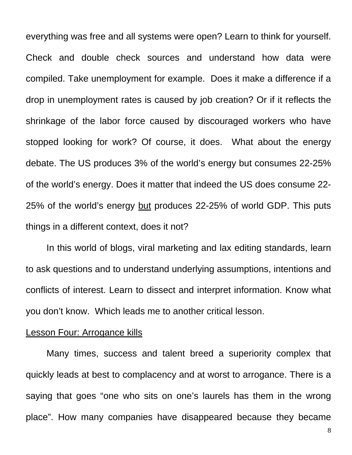everything was free and all systems were open? Learn to think for yourself. Check and double check sources and understand how data were compiled. Take unemployment for example. Does it make a difference if a drop in unemployment rates is caused by job creation? Or if it reflects the shrinkage of the labor force caused by discouraged workers who have stopped looking for work? Of course, it does. What about the energy debate. The US produces 3% of the world's energy but consumes 22-25% of the world's energy. Does it matter that indeed the US does consume 22- 25% of the world's energy but produces 22-25% of world GDP. This puts things in a different context, does it not?

In this world of blogs, viral marketing and lax editing standards, learn to ask questions and to understand underlying assumptions, intentions and conflicts of interest. Learn to dissect and interpret information. Know what you don't know. Which leads me to another critical lesson.

#### Lesson Four: Arrogance kills

Many times, success and talent breed a superiority complex that quickly leads at best to complacency and at worst to arrogance. There is a saying that goes "one who sits on one's laurels has them in the wrong place". How many companies have disappeared because they became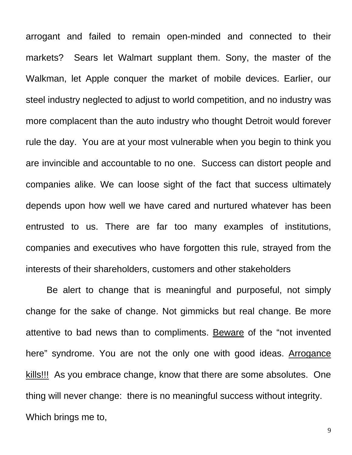arrogant and failed to remain open-minded and connected to their markets? Sears let Walmart supplant them. Sony, the master of the Walkman, let Apple conquer the market of mobile devices. Earlier, our steel industry neglected to adjust to world competition, and no industry was more complacent than the auto industry who thought Detroit would forever rule the day. You are at your most vulnerable when you begin to think you are invincible and accountable to no one. Success can distort people and companies alike. We can loose sight of the fact that success ultimately depends upon how well we have cared and nurtured whatever has been entrusted to us. There are far too many examples of institutions, companies and executives who have forgotten this rule, strayed from the interests of their shareholders, customers and other stakeholders

Be alert to change that is meaningful and purposeful, not simply change for the sake of change. Not gimmicks but real change. Be more attentive to bad news than to compliments. Beware of the "not invented here" syndrome. You are not the only one with good ideas. Arrogance kills!!! As you embrace change, know that there are some absolutes. One thing will never change: there is no meaningful success without integrity. Which brings me to,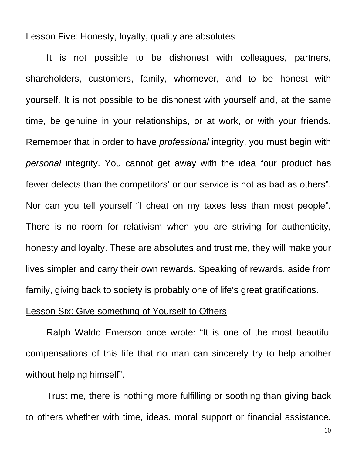#### Lesson Five: Honesty, loyalty, quality are absolutes

It is not possible to be dishonest with colleagues, partners, shareholders, customers, family, whomever, and to be honest with yourself. It is not possible to be dishonest with yourself and, at the same time, be genuine in your relationships, or at work, or with your friends. Remember that in order to have *professional* integrity, you must begin with *personal* integrity. You cannot get away with the idea "our product has fewer defects than the competitors' or our service is not as bad as others". Nor can you tell yourself "I cheat on my taxes less than most people". There is no room for relativism when you are striving for authenticity, honesty and loyalty. These are absolutes and trust me, they will make your lives simpler and carry their own rewards. Speaking of rewards, aside from family, giving back to society is probably one of life's great gratifications.

## Lesson Six: Give something of Yourself to Others

Ralph Waldo Emerson once wrote: "It is one of the most beautiful compensations of this life that no man can sincerely try to help another without helping himself".

Trust me, there is nothing more fulfilling or soothing than giving back to others whether with time, ideas, moral support or financial assistance.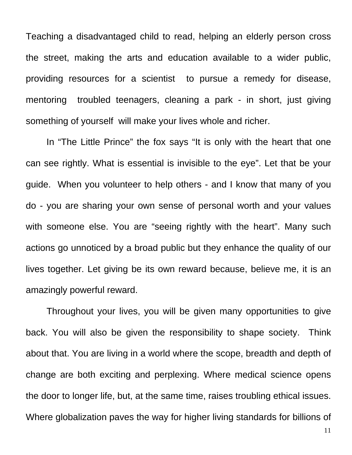Teaching a disadvantaged child to read, helping an elderly person cross the street, making the arts and education available to a wider public, providing resources for a scientist to pursue a remedy for disease, mentoring troubled teenagers, cleaning a park - in short, just giving something of yourself will make your lives whole and richer.

In "The Little Prince" the fox says "It is only with the heart that one can see rightly. What is essential is invisible to the eye". Let that be your guide. When you volunteer to help others - and I know that many of you do - you are sharing your own sense of personal worth and your values with someone else. You are "seeing rightly with the heart". Many such actions go unnoticed by a broad public but they enhance the quality of our lives together. Let giving be its own reward because, believe me, it is an amazingly powerful reward.

Throughout your lives, you will be given many opportunities to give back. You will also be given the responsibility to shape society. Think about that. You are living in a world where the scope, breadth and depth of change are both exciting and perplexing. Where medical science opens the door to longer life, but, at the same time, raises troubling ethical issues. Where globalization paves the way for higher living standards for billions of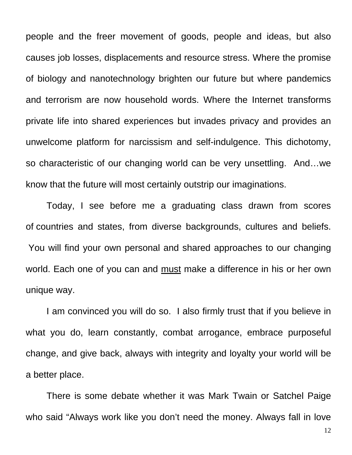people and the freer movement of goods, people and ideas, but also causes job losses, displacements and resource stress. Where the promise of biology and nanotechnology brighten our future but where pandemics and terrorism are now household words. Where the Internet transforms private life into shared experiences but invades privacy and provides an unwelcome platform for narcissism and self-indulgence. This dichotomy, so characteristic of our changing world can be very unsettling. And…we know that the future will most certainly outstrip our imaginations.

Today, I see before me a graduating class drawn from scores of countries and states, from diverse backgrounds, cultures and beliefs. You will find your own personal and shared approaches to our changing world. Each one of you can and must make a difference in his or her own unique way.

I am convinced you will do so. I also firmly trust that if you believe in what you do, learn constantly, combat arrogance, embrace purposeful change, and give back, always with integrity and loyalty your world will be a better place.

There is some debate whether it was Mark Twain or Satchel Paige who said "Always work like you don't need the money. Always fall in love